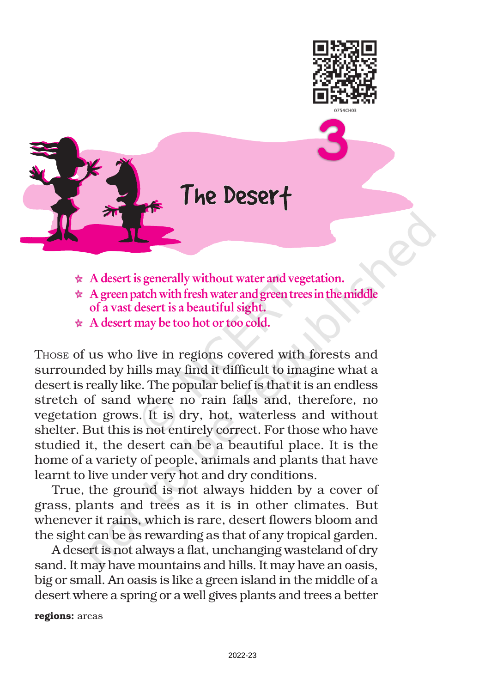



- $\star$  A desert is generally without water and vegetation.
- $\star$  A green patch with fresh water and green trees in the middle of a vast desert is a beautiful sight.
- \* A desert may be too hot or too cold.

THOSE of us who live in regions covered with forests and surrounded by hills may find it difficult to imagine what a desert is really like. The popular belief is that it is an endless stretch of sand where no rain falls and, therefore, no vegetation grows. It is dry, hot, waterless and without shelter. But this is not entirely correct. For those who have studied it, the desert can be a beautiful place. It is the home of a variety of people, animals and plants that have learnt to live under very hot and dry conditions.

True, the ground is not always hidden by a cover of grass, plants and trees as it is in other climates. But whenever it rains, which is rare, desert flowers bloom and the sight can be as rewarding as that of any tropical garden.

A desert is not always a flat, unchanging wasteland of dry sand. It may have mountains and hills. It may have an oasis, big or small. An oasis is like a green island in the middle of a desert where a spring or a well gives plants and trees a better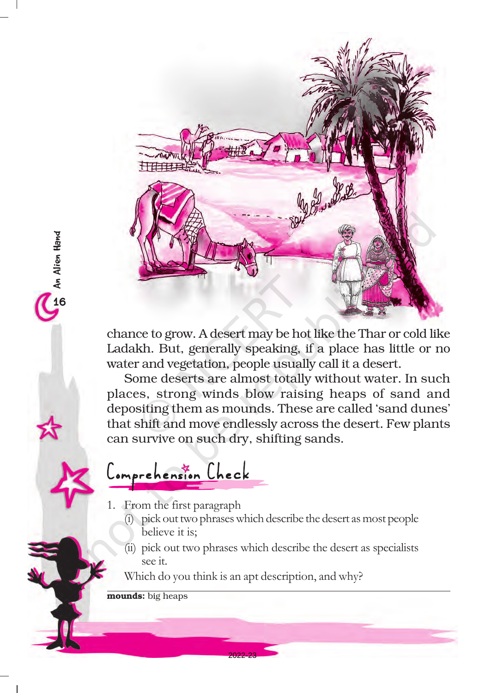

chance to grow. A desert may be hot like the Thar or cold like Ladakh. But, generally speaking, if a place has little or no water and vegetation, people usually call it a desert.

Some deserts are almost totally without water. In such places, strong winds blow raising heaps of sand and depositing them as mounds. These are called 'sand dunes' that shift and move endlessly across the desert. Few plants can survive on such dry, shifting sands.

## omprehension Check

- 1. From the first paragraph
	- (i) pick out two phrases which describe the desert as most people believe it is;
	- (ii) pick out two phrases which describe the desert as specialists see it.

Which do you think is an apt description, and why?

2022-23

mounds: big heaps

16An Alien Hand

An Alien Hand<br>16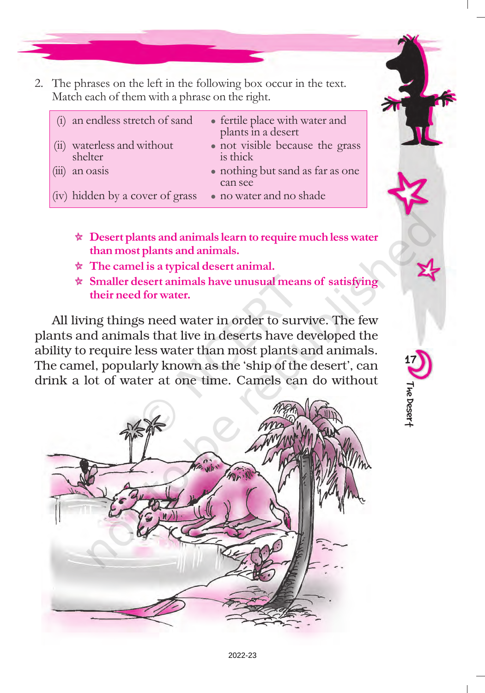2. The phrases on the left in the following box occur in the text. Match each of them with a phrase on the right.

| (i) an endless stretch of sand        | • fertile place with water and<br>plants in a desert |
|---------------------------------------|------------------------------------------------------|
| (ii) waterless and without<br>shelter | • not visible because the grass<br>is thick          |
| an oasis                              | • nothing but sand as far as one<br>can see          |
| (iv) hidden by a cover of grass       | • no water and no shade                              |

- $\star$  Desert plants and animals learn to require much less water than most plants and animals.
- $\star$  The camel is a typical desert animal.
- $\star$  Smaller desert animals have unusual means of satisfying their need for water.

17

The Desert

All living things need water in order to survive. The few plants and animals that live in deserts have developed the ability to require less water than most plants and animals. The camel, popularly known as the 'ship of the desert', can drink a lot of water at one time. Camels can do without

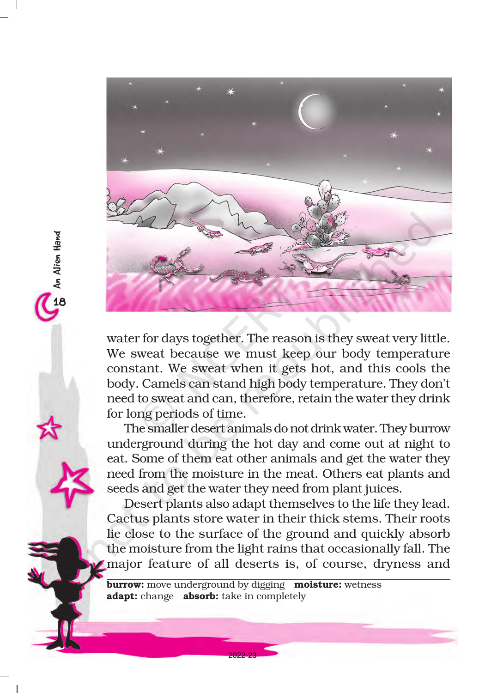

18An Alien Hand

**An Alien Hand** 

water for days together. The reason is they sweat very little. We sweat because we must keep our body temperature constant. We sweat when it gets hot, and this cools the body. Camels can stand high body temperature. They don't need to sweat and can, therefore, retain the water they drink for long periods of time.

The smaller desert animals do not drink water. They burrow underground during the hot day and come out at night to eat. Some of them eat other animals and get the water they need from the moisture in the meat. Others eat plants and seeds and get the water they need from plant juices.

Desert plants also adapt themselves to the life they lead. Cactus plants store water in their thick stems. Their roots lie close to the surface of the ground and quickly absorb the moisture from the light rains that occasionally fall. The major feature of all deserts is, of course, dryness and

**burrow:** move underground by digging **moisture:** wetness adapt: change absorb: take in completely

2022-23